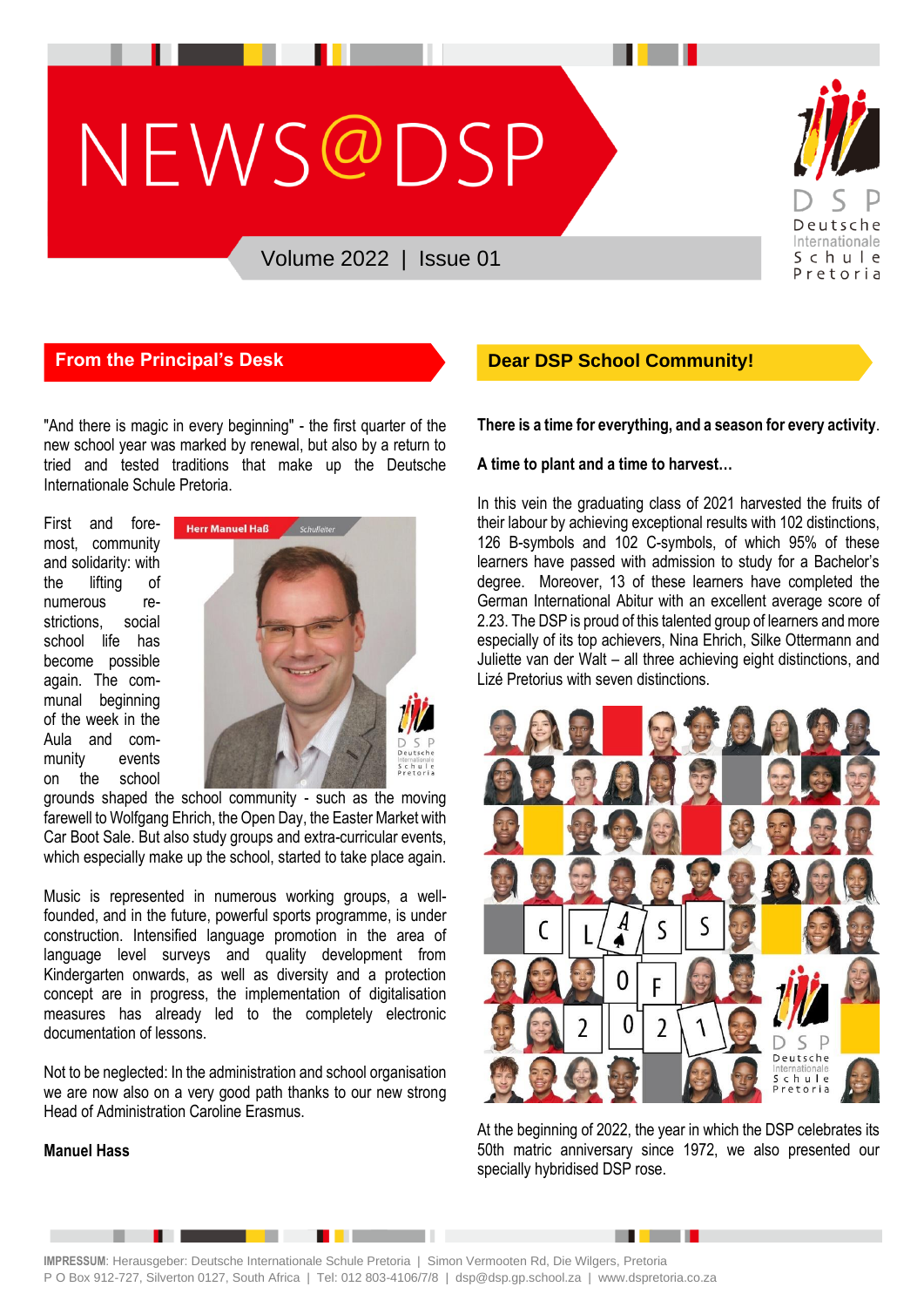# NEWS@DSP



# Volume 2022 | Issue 01

"And there is magic in every beginning" - the first quarter of the new school year was marked by renewal, but also by a return to tried and tested traditions that make up the Deutsche Internationale Schule Pretoria.

First and foremost, community and solidarity: with the lifting of numerous restrictions, social school life has become possible again. The communal beginning of the week in the Aula and community events on the school



grounds shaped the school community - such as the moving farewell to Wolfgang Ehrich, the Open Day, the Easter Market with Car Boot Sale. But also study groups and extra-curricular events, which especially make up the school, started to take place again.

Music is represented in numerous working groups, a wellfounded, and in the future, powerful sports programme, is under construction. Intensified language promotion in the area of language level surveys and quality development from Kindergarten onwards, as well as diversity and a protection concept are in progress, the implementation of digitalisation measures has already led to the completely electronic documentation of lessons.

Not to be neglected: In the administration and school organisation we are now also on a very good path thanks to our new strong Head of Administration Caroline Erasmus.

**The Company** 

# **From the Principal's Desk Dear DSP School Community!**

**There is a time for everything, and a season for every activity**.

#### **A time to plant and a time to harvest…**

In this vein the graduating class of 2021 harvested the fruits of their labour by achieving exceptional results with 102 distinctions, 126 B-symbols and 102 C-symbols, of which 95% of these learners have passed with admission to study for a Bachelor's degree. Moreover, 13 of these learners have completed the German International Abitur with an excellent average score of 2.23. The DSP is proud of this talented group of learners and more especially of its top achievers, Nina Ehrich, Silke Ottermann and Juliette van der Walt – all three achieving eight distinctions, and Lizé Pretorius with seven distinctions.



At the beginning of 2022, the year in which the DSP celebrates its 50th matric anniversary since 1972, we also presented our specially hybridised DSP rose.

. . .

# **Manuel Hass**

**IMPRESSUM**: Herausgeber: Deutsche Internationale Schule Pretoria | Simon Vermooten Rd, Die Wilgers, Pretoria P O Box 912-727, Silverton 0127, South Africa | Tel: 012 803-4106/7/8 | dsp@dsp.gp.school.za | www.dspretoria.co.za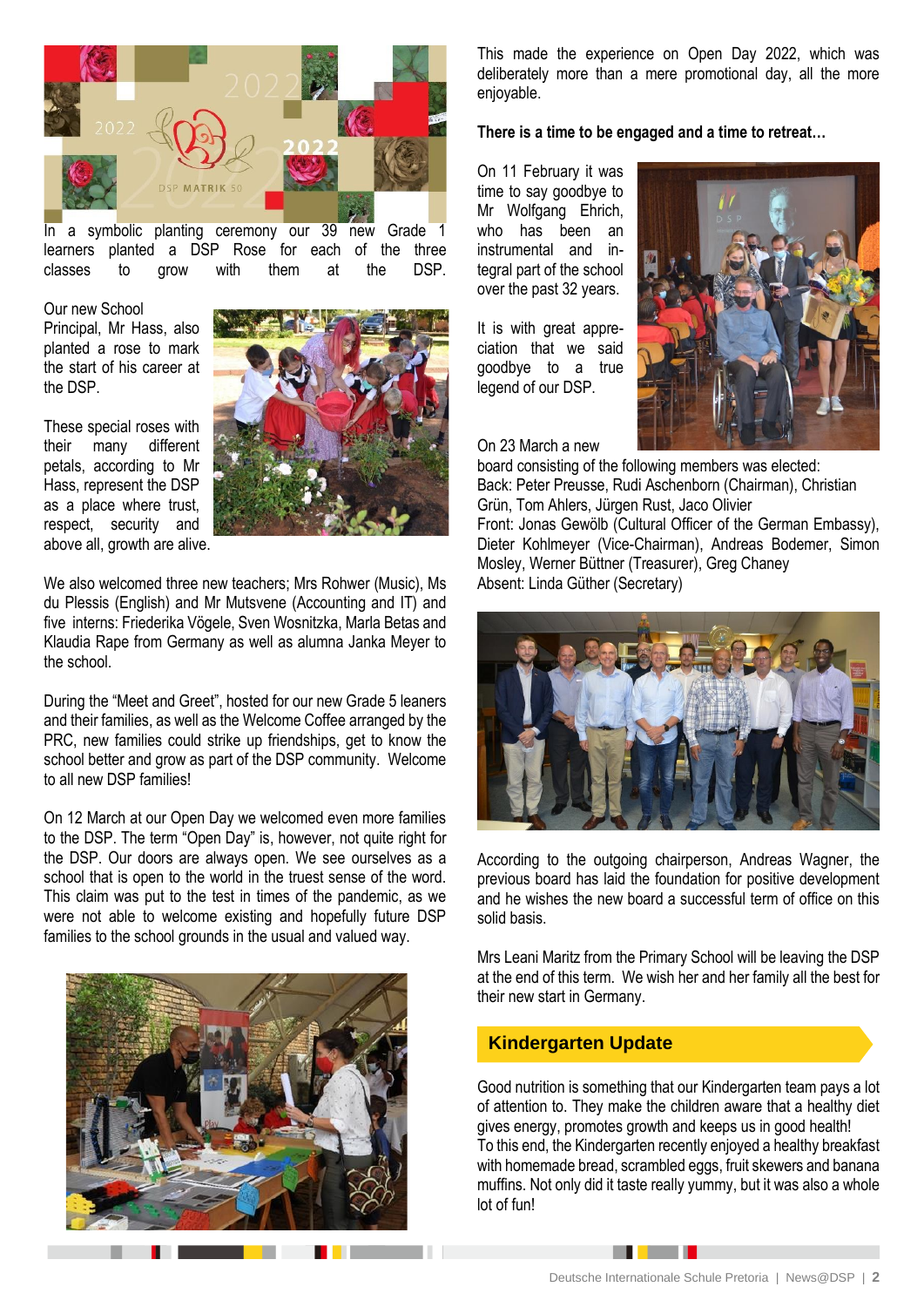

In a symbolic planting ceremony our 39 new Grade 1 learners planted a DSP Rose for each of the three classes to grow with them at the DSP.

Our new School Principal, Mr Hass, also planted a rose to mark the start of his career at the DSP.

These special roses with their many different petals, according to Mr Hass, represent the DSP as a place where trust, respect, security and above all, growth are alive.



We also welcomed three new teachers; Mrs Rohwer (Music), Ms du Plessis (English) and Mr Mutsvene (Accounting and IT) and five interns: Friederika Vögele, Sven Wosnitzka, Marla Betas and Klaudia Rape from Germany as well as alumna Janka Meyer to the school.

During the "Meet and Greet", hosted for our new Grade 5 leaners and their families, as well as the Welcome Coffee arranged by the PRC, new families could strike up friendships, get to know the school better and grow as part of the DSP community. Welcome to all new DSP families!

On 12 March at our Open Day we welcomed even more families to the DSP. The term "Open Day" is, however, not quite right for the DSP. Our doors are always open. We see ourselves as a school that is open to the world in the truest sense of the word. This claim was put to the test in times of the pandemic, as we were not able to welcome existing and hopefully future DSP families to the school grounds in the usual and valued way.



This made the experience on Open Day 2022, which was deliberately more than a mere promotional day, all the more enjoyable.

**There is a time to be engaged and a time to retreat…**

On 11 February it was time to say goodbye to Mr Wolfgang Ehrich, who has been an instrumental and integral part of the school over the past 32 years.

It is with great appreciation that we said goodbye to a true legend of our DSP.



On 23 March a new board consisting of the following members was elected:

Back: Peter Preusse, Rudi Aschenborn (Chairman), Christian Grün, Tom Ahlers, Jürgen Rust, Jaco Olivier Front: Jonas Gewölb (Cultural Officer of the German Embassy), Dieter Kohlmeyer (Vice-Chairman), Andreas Bodemer, Simon Mosley, Werner Büttner (Treasurer), Greg Chaney Absent: Linda Güther (Secretary)



According to the outgoing chairperson, Andreas Wagner, the previous board has laid the foundation for positive development and he wishes the new board a successful term of office on this solid basis.

Mrs Leani Maritz from the Primary School will be leaving the DSP at the end of this term. We wish her and her family all the best for their new start in Germany.

# **Kindergarten Update**

Good nutrition is something that our Kindergarten team pays a lot of attention to. They make the children aware that a healthy diet gives energy, promotes growth and keeps us in good health! To this end, the Kindergarten recently enjoyed a healthy breakfast with homemade bread, scrambled eggs, fruit skewers and banana muffins. Not only did it taste really yummy, but it was also a whole lot of fun!

. . .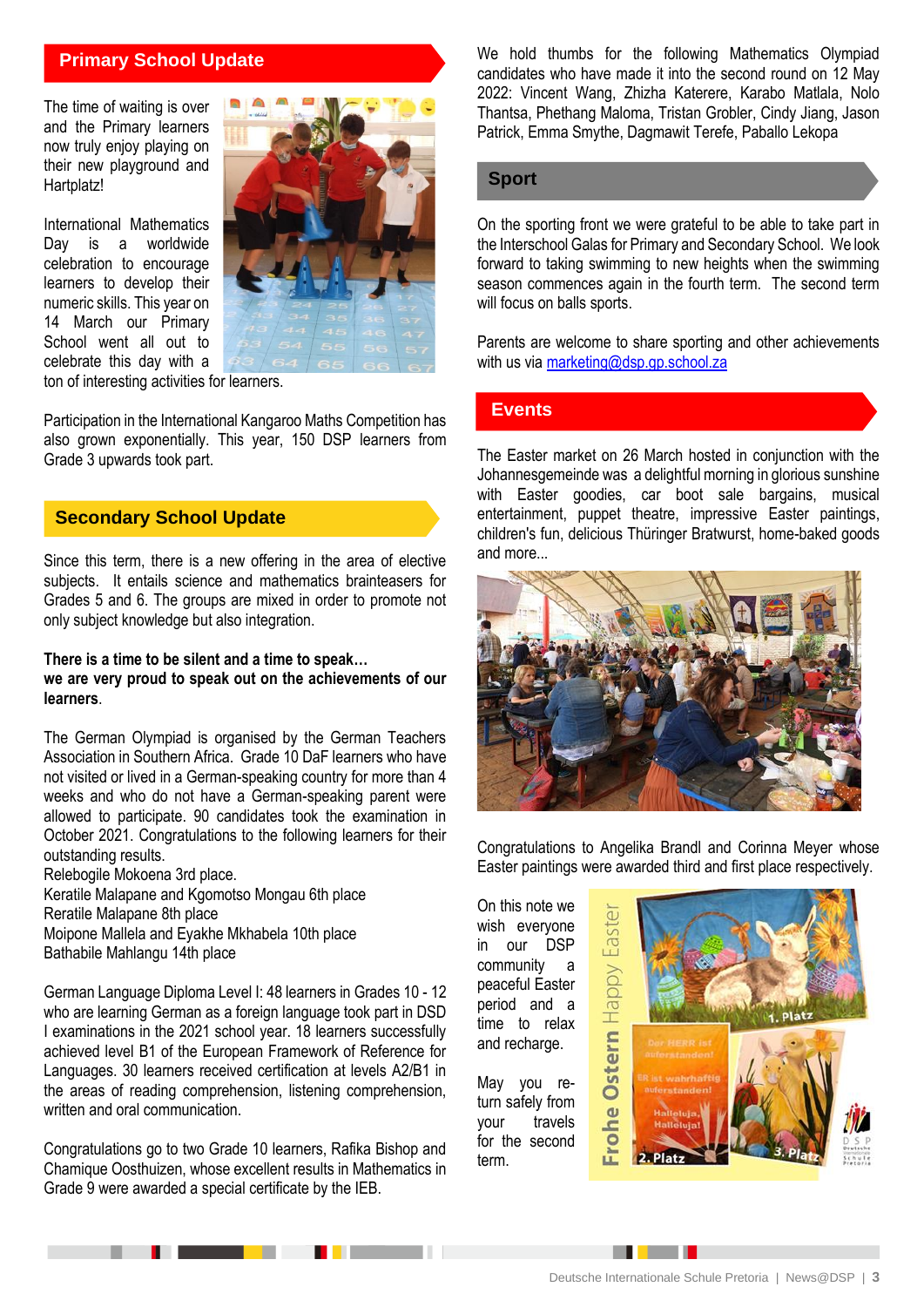# **Primary School Update**

The time of waiting is over and the Primary learners now truly enjoy playing on their new playground and Hartplatz!

International Mathematics Day is a worldwide celebration to encourage learners to develop their numeric skills. This year on 14 March our Primary School went all out to celebrate this day with a



ton of interesting activities for learners.

Participation in the International Kangaroo Maths Competition has also grown exponentially. This year, 150 DSP learners from Grade 3 upwards took part.

#### **Secondary School Update**

Since this term, there is a new offering in the area of elective subjects. It entails science and mathematics brainteasers for Grades 5 and 6. The groups are mixed in order to promote not only subject knowledge but also integration.

#### **There is a time to be silent and a time to speak… we are very proud to speak out on the achievements of our learners**.

The German Olympiad is organised by the German Teachers Association in Southern Africa. Grade 10 DaF learners who have not visited or lived in a German-speaking country for more than 4 weeks and who do not have a German-speaking parent were allowed to participate. 90 candidates took the examination in October 2021. Congratulations to the following learners for their outstanding results.

Relebogile Mokoena 3rd place. Keratile Malapane and Kgomotso Mongau 6th place Reratile Malapane 8th place Moipone Mallela and Eyakhe Mkhabela 10th place Bathabile Mahlangu 14th place

German Language Diploma Level I: 48 learners in Grades 10 - 12 who are learning German as a foreign language took part in DSD I examinations in the 2021 school year. 18 learners successfully achieved level B1 of the European Framework of Reference for Languages. 30 learners received certification at levels A2/B1 in the areas of reading comprehension, listening comprehension, written and oral communication.

Congratulations go to two Grade 10 learners, Rafika Bishop and Chamique Oosthuizen, whose excellent results in Mathematics in Grade 9 were awarded a special certificate by the IEB.

We hold thumbs for the following Mathematics Olympiad candidates who have made it into the second round on 12 May 2022: Vincent Wang, Zhizha Katerere, Karabo Matlala, Nolo Thantsa, Phethang Maloma, Tristan Grobler, Cindy Jiang, Jason Patrick, Emma Smythe, Dagmawit Terefe, Paballo Lekopa

### **Sport**

On the sporting front we were grateful to be able to take part in the Interschool Galas for Primary and Secondary School. We look forward to taking swimming to new heights when the swimming season commences again in the fourth term. The second term will focus on balls sports.

Parents are welcome to share sporting and other achievements with us via [marketing@dsp.gp.school.za](mailto:marketing@dsp.gp.school.za)

#### **Events**

The Easter market on 26 March hosted in conjunction with the Johannesgemeinde was a delightful morning in glorious sunshine with Easter goodies, car boot sale bargains, musical entertainment, puppet theatre, impressive Easter paintings, children's fun, delicious Thüringer Bratwurst, home-baked goods and more...



Congratulations to Angelika Brandl and Corinna Meyer whose Easter paintings were awarded third and first place respectively.

On this note we wish everyone in our DSP community a peaceful Easter period and a time to relax and recharge.

May you return safely from your travels for the second term.

the company's company's company's



. . .